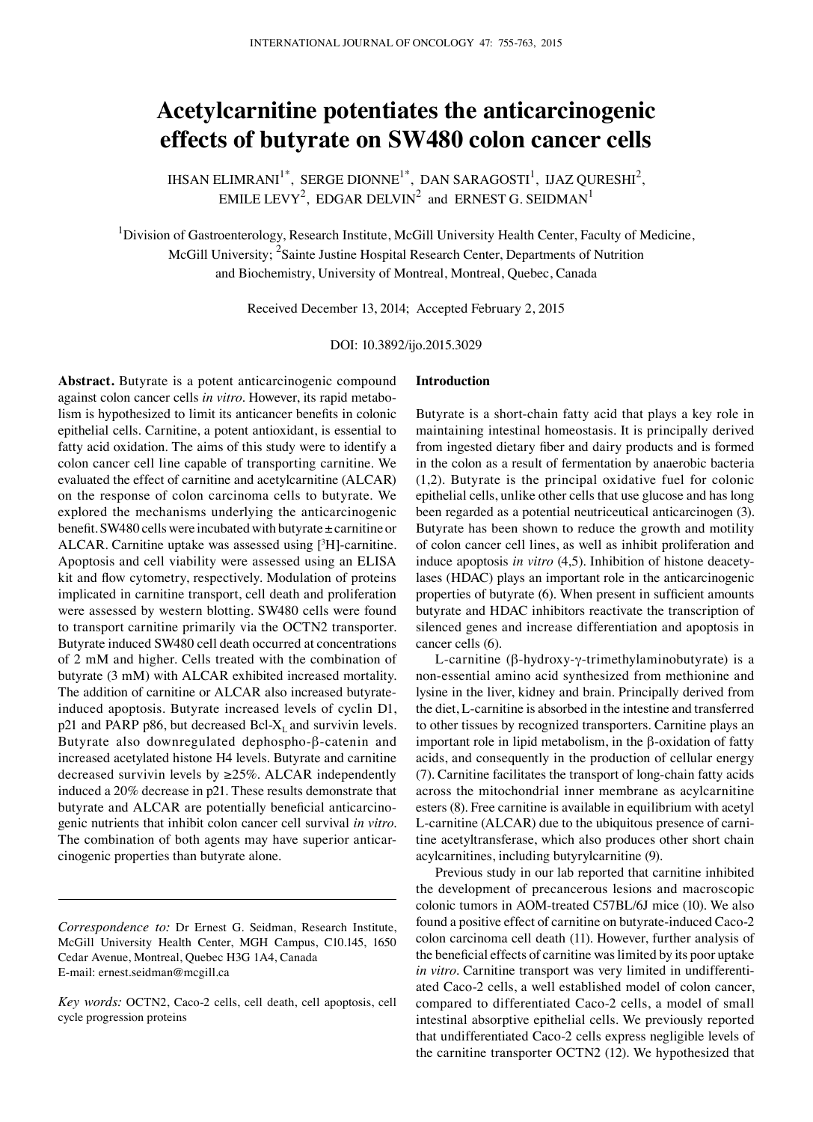# **Acetylcarnitine potentiates the anticarcinogenic effects of butyrate on SW480 colon cancer cells**

IHSAN ELIMRANI<sup>1\*</sup>, SERGE DIONNE<sup>1\*</sup>, DAN SARAGOSTI<sup>1</sup>, IJAZ QURESHI<sup>2</sup>, EMILE LEVY<sup>2</sup>, EDGAR DELVIN<sup>2</sup> and ERNEST G. SEIDMAN<sup>1</sup>

<sup>1</sup>Division of Gastroenterology, Research Institute, McGill University Health Center, Faculty of Medicine, McGill University; <sup>2</sup>Sainte Justine Hospital Research Center, Departments of Nutrition and Biochemistry, University of Montreal, Montreal, Quebec, Canada

Received December 13, 2014; Accepted February 2, 2015

DOI: 10.3892/ijo.2015.3029

**Abstract.** Butyrate is a potent anticarcinogenic compound against colon cancer cells *in vitro*. However, its rapid metabolism is hypothesized to limit its anticancer benefits in colonic epithelial cells. Carnitine, a potent antioxidant, is essential to fatty acid oxidation. The aims of this study were to identify a colon cancer cell line capable of transporting carnitine. We evaluated the effect of carnitine and acetylcarnitine (ALCAR) on the response of colon carcinoma cells to butyrate. We explored the mechanisms underlying the anticarcinogenic benefit. SW480 cells were incubated with butyrate ± carnitine or ALCAR. Carnitine uptake was assessed using  $[{}^{3}H]$ -carnitine. Apoptosis and cell viability were assessed using an ELISA kit and flow cytometry, respectively. Modulation of proteins implicated in carnitine transport, cell death and proliferation were assessed by western blotting. SW480 cells were found to transport carnitine primarily via the OCTN2 transporter. Butyrate induced SW480 cell death occurred at concentrations of 2 mM and higher. Cells treated with the combination of butyrate (3 mM) with ALCAR exhibited increased mortality. The addition of carnitine or ALCAR also increased butyrateinduced apoptosis. Butyrate increased levels of cyclin D1,  $p21$  and PARP p86, but decreased Bcl-X<sub>L</sub> and survivin levels. Butyrate also downregulated dephospho-β-catenin and increased acetylated histone H4 levels. Butyrate and carnitine decreased survivin levels by  $\geq$ 25%. ALCAR independently induced a 20% decrease in p21. These results demonstrate that butyrate and ALCAR are potentially beneficial anticarcinogenic nutrients that inhibit colon cancer cell survival *in vitro*. The combination of both agents may have superior anticarcinogenic properties than butyrate alone.

### **Introduction**

Butyrate is a short-chain fatty acid that plays a key role in maintaining intestinal homeostasis. It is principally derived from ingested dietary fiber and dairy products and is formed in the colon as a result of fermentation by anaerobic bacteria (1,2). Butyrate is the principal oxidative fuel for colonic epithelial cells, unlike other cells that use glucose and has long been regarded as a potential neutriceutical anticarcinogen (3). Butyrate has been shown to reduce the growth and motility of colon cancer cell lines, as well as inhibit proliferation and induce apoptosis *in vitro* (4,5). Inhibition of histone deacetylases (HDAC) plays an important role in the anticarcinogenic properties of butyrate (6). When present in sufficient amounts butyrate and HDAC inhibitors reactivate the transcription of silenced genes and increase differentiation and apoptosis in cancer cells (6).

l-carnitine (β-hydroxy-γ-trimethylaminobutyrate) is a non-essential amino acid synthesized from methionine and lysine in the liver, kidney and brain. Principally derived from the diet, L-carnitine is absorbed in the intestine and transferred to other tissues by recognized transporters. Carnitine plays an important role in lipid metabolism, in the β-oxidation of fatty acids, and consequently in the production of cellular energy (7). Carnitine facilitates the transport of long-chain fatty acids across the mitochondrial inner membrane as acylcarnitine esters (8). Free carnitine is available in equilibrium with acetyl L-carnitine (ALCAR) due to the ubiquitous presence of carnitine acetyltransferase, which also produces other short chain acylcarnitines, including butyrylcarnitine (9).

Previous study in our lab reported that carnitine inhibited the development of precancerous lesions and macroscopic colonic tumors in AOM-treated C57BL/6J mice (10). We also found a positive effect of carnitine on butyrate-induced Caco-2 colon carcinoma cell death (11). However, further analysis of the beneficial effects of carnitine was limited by its poor uptake *in vitro*. Carnitine transport was very limited in undifferentiated Caco-2 cells, a well established model of colon cancer, compared to differentiated Caco-2 cells, a model of small intestinal absorptive epithelial cells. We previously reported that undifferentiated Caco-2 cells express negligible levels of the carnitine transporter OCTN2 (12). We hypothesized that

*Correspondence to:* Dr Ernest G. Seidman, Research Institute, McGill University Health Center, MGH Campus, C10.145, 1650 Cedar Avenue, Montreal, Quebec H3G 1A4, Canada E-mail: ernest.seidman@mcgill.ca

*Key words:* OCTN2, Caco-2 cells, cell death, cell apoptosis, cell cycle progression proteins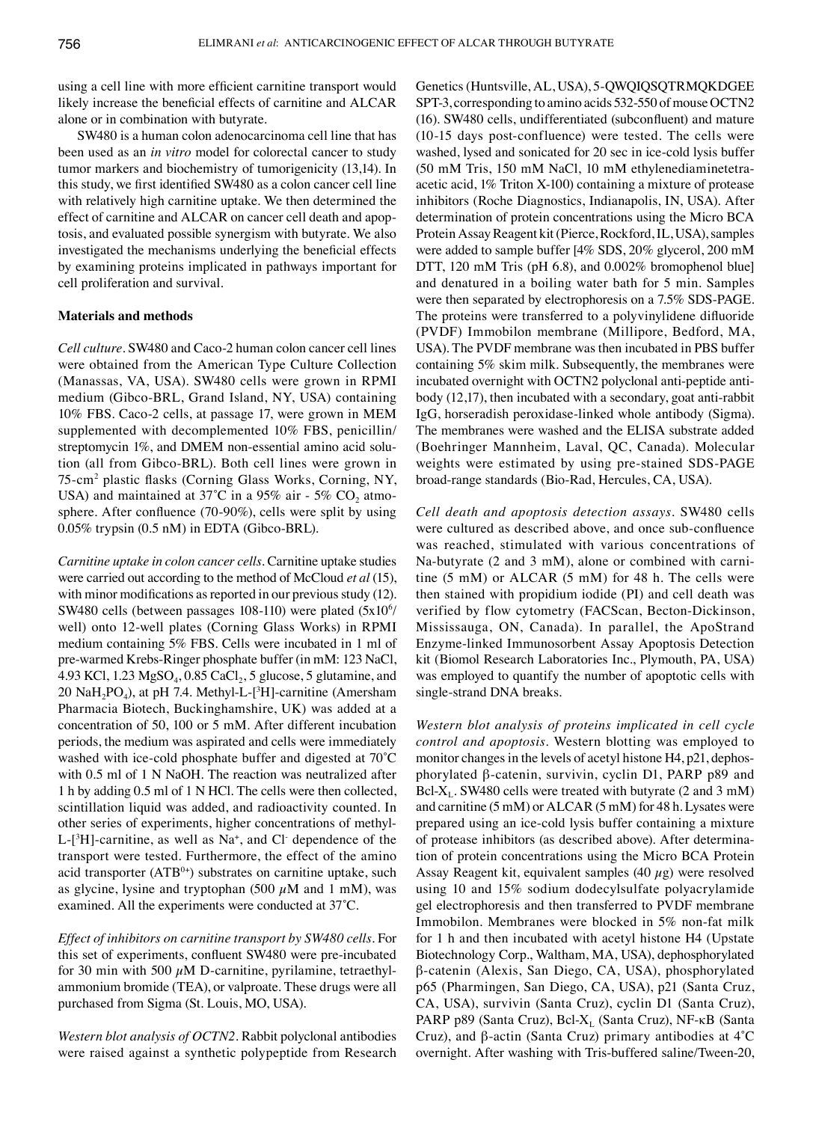using a cell line with more efficient carnitine transport would likely increase the beneficial effects of carnitine and ALCAR alone or in combination with butyrate.

SW480 is a human colon adenocarcinoma cell line that has been used as an *in vitro* model for colorectal cancer to study tumor markers and biochemistry of tumorigenicity (13,14). In this study, we first identified SW480 as a colon cancer cell line with relatively high carnitine uptake. We then determined the effect of carnitine and ALCAR on cancer cell death and apoptosis, and evaluated possible synergism with butyrate. We also investigated the mechanisms underlying the beneficial effects by examining proteins implicated in pathways important for cell proliferation and survival.

## **Materials and methods**

*Cell culture.* SW480 and Caco-2 human colon cancer cell lines were obtained from the American Type Culture Collection (Manassas, VA, USA). SW480 cells were grown in RPMI medium (Gibco-BRL, Grand Island, NY, USA) containing 10% FBS. Caco-2 cells, at passage 17, were grown in MEM supplemented with decomplemented 10% FBS, penicillin/ streptomycin 1%, and DMEM non-essential amino acid solution (all from Gibco-BRL). Both cell lines were grown in 75-cm2 plastic flasks (Corning Glass Works, Corning, NY, USA) and maintained at  $37^{\circ}$ C in a 95% air - 5% CO<sub>2</sub> atmosphere. After confluence (70-90%), cells were split by using 0.05% trypsin (0.5 nM) in EDTA (Gibco-BRL).

*Carnitine uptake in colon cancer cells.* Carnitine uptake studies were carried out according to the method of McCloud *et al* (15), with minor modifications as reported in our previous study (12). SW480 cells (between passages 108-110) were plated (5x10<sup>6</sup>/ well) onto 12-well plates (Corning Glass Works) in RPMI medium containing 5% FBS. Cells were incubated in 1 ml of pre-warmed Krebs-Ringer phosphate buffer (in mM: 123 NaCl, 4.93 KCl,  $1.23 \text{ MgSO}_4$ ,  $0.85 \text{ CaCl}_2$ ,  $5 \text{ glucose}$ ,  $5 \text{ glutamine}$ , and  $20 \text{ NaH}_2\text{PO}_4$ ), at pH 7.4. Methyl-L-[<sup>3</sup>H]-carnitine (Amersham Pharmacia Biotech, Buckinghamshire, UK) was added at a concentration of 50, 100 or 5 mM. After different incubation periods, the medium was aspirated and cells were immediately washed with ice-cold phosphate buffer and digested at 70˚C with 0.5 ml of 1 N NaOH. The reaction was neutralized after 1 h by adding 0.5 ml of 1 N HCl. The cells were then collected, scintillation liquid was added, and radioactivity counted. In other series of experiments, higher concentrations of methyl- $L-[<sup>3</sup>H]$ -carnitine, as well as Na<sup>+</sup>, and Cl<sup>-</sup> dependence of the transport were tested. Furthermore, the effect of the amino acid transporter (ATB<sup>0+</sup>) substrates on carnitine uptake, such as glycine, lysine and tryptophan (500  $\mu$ M and 1 mM), was examined. All the experiments were conducted at 37˚C.

*Effect of inhibitors on carnitine transport by SW480 cells.* For this set of experiments, confluent SW480 were pre-incubated for 30 min with 500  $\mu$ M D-carnitine, pyrilamine, tetraethylammonium bromide (TEA), or valproate. These drugs were all purchased from Sigma (St. Louis, MO, USA).

*Western blot analysis of OCTN2.* Rabbit polyclonal antibodies were raised against a synthetic polypeptide from Research Genetics (Huntsville, AL, USA), 5-QWQIQSQTRMQKDGEE SPT-3, corresponding to amino acids 532-550 of mouse OCTN2 (16). SW480 cells, undifferentiated (subconfluent) and mature (10-15 days post-confluence) were tested. The cells were washed, lysed and sonicated for 20 sec in ice-cold lysis buffer (50 mM Tris, 150 mM NaCl, 10 mM ethylenediaminetetraacetic acid, 1% Triton X-100) containing a mixture of protease inhibitors (Roche Diagnostics, Indianapolis, IN, USA). After determination of protein concentrations using the Micro BCA Protein Assay Reagent kit (Pierce, Rockford, IL, USA), samples were added to sample buffer [4% SDS, 20% glycerol, 200 mM DTT, 120 mM Tris (pH 6.8), and 0.002% bromophenol blue] and denatured in a boiling water bath for 5 min. Samples were then separated by electrophoresis on a 7.5% SDS-PAGE. The proteins were transferred to a polyvinylidene difluoride (PVDF) Immobilon membrane (Millipore, Bedford, MA, USA). The PVDF membrane was then incubated in PBS buffer containing 5% skim milk. Subsequently, the membranes were incubated overnight with OCTN2 polyclonal anti-peptide antibody (12,17), then incubated with a secondary, goat anti-rabbit IgG, horseradish peroxidase-linked whole antibody (Sigma). The membranes were washed and the ELISA substrate added (Boehringer Mannheim, Laval, QC, Canada). Molecular weights were estimated by using pre-stained SDS-PAGE broad-range standards (Bio-Rad, Hercules, CA, USA).

*Cell death and apoptosis detection assays.* SW480 cells were cultured as described above, and once sub-confluence was reached, stimulated with various concentrations of Na-butyrate (2 and 3 mM), alone or combined with carnitine (5 mM) or ALCAR (5 mM) for 48 h. The cells were then stained with propidium iodide (PI) and cell death was verified by flow cytometry (FACScan, Becton-Dickinson, Mississauga, ON, Canada). In parallel, the ApoStrand Enzyme-linked Immunosorbent Assay Apoptosis Detection kit (Biomol Research Laboratories Inc., Plymouth, PA, USA) was employed to quantify the number of apoptotic cells with single-strand DNA breaks.

*Western blot analysis of proteins implicated in cell cycle control and apoptosis.* Western blotting was employed to monitor changes in the levels of acetyl histone H4, p21, dephosphorylated β-catenin, survivin, cyclin D1, PARP p89 and Bcl- $X_L$ . SW480 cells were treated with butyrate (2 and 3 mM) and carnitine (5 mM) or ALCAR (5 mM) for 48 h. Lysates were prepared using an ice-cold lysis buffer containing a mixture of protease inhibitors (as described above). After determination of protein concentrations using the Micro BCA Protein Assay Reagent kit, equivalent samples  $(40 \mu g)$  were resolved using 10 and 15% sodium dodecylsulfate polyacrylamide gel electrophoresis and then transferred to PVDF membrane Immobilon. Membranes were blocked in 5% non-fat milk for 1 h and then incubated with acetyl histone H4 (Upstate Biotechnology Corp., Waltham, MA, USA), dephosphorylated β-catenin (Alexis, San Diego, CA, USA), phosphorylated p65 (Pharmingen, San Diego, CA, USA), p21 (Santa Cruz, CA, USA), survivin (Santa Cruz), cyclin D1 (Santa Cruz), PARP p89 (Santa Cruz), Bcl-X<sub>L</sub> (Santa Cruz), NF-κB (Santa Cruz), and β-actin (Santa Cruz) primary antibodies at 4˚C overnight. After washing with Tris-buffered saline/Tween-20,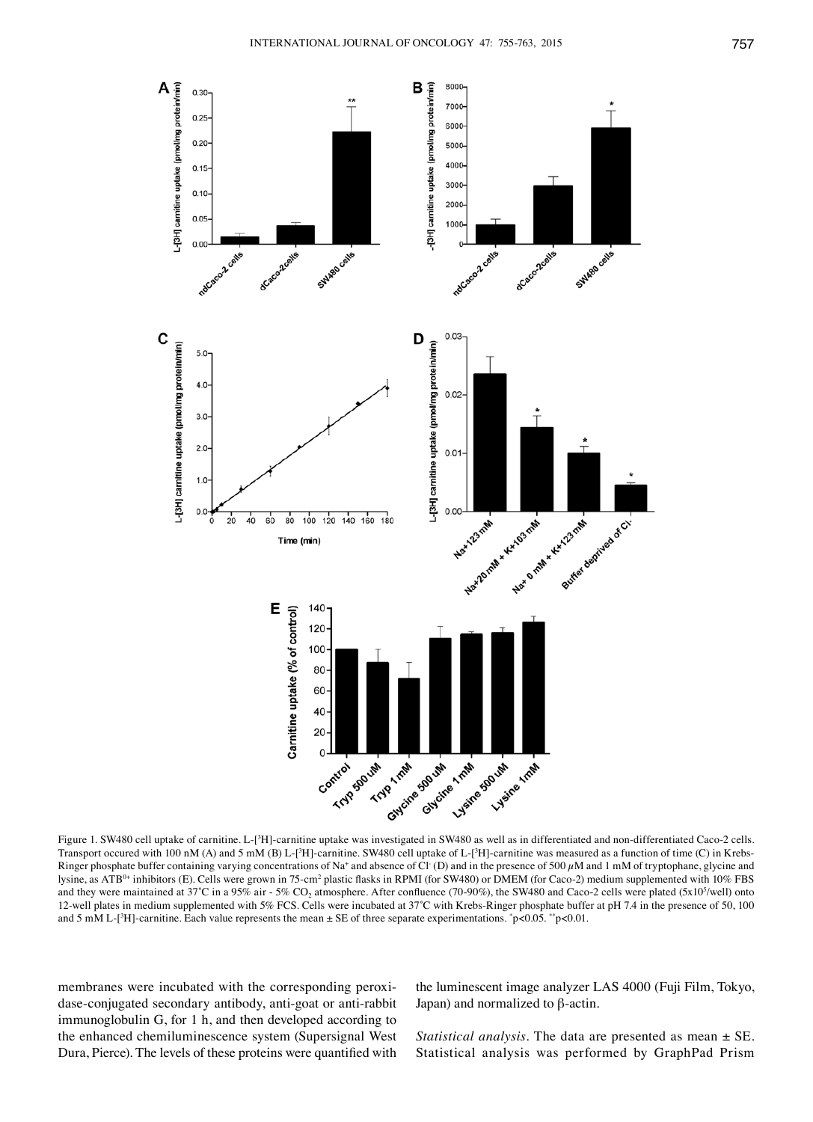

Figure 1. SW480 cell uptake of carnitine. L-[3H]-carnitine uptake was investigated in SW480 as well as in differentiated and non-differentiated Caco-2 cells. Transport occured with 100 nM (A) and 5 mM (B) L-[<sup>3</sup>H]-carnitine. SW480 cell uptake of L-[<sup>3</sup>H]-carnitine was measured as a function of time (C) in Krebs-Ringer phosphate buffer containing varying concentrations of Na<sup>+</sup> and absence of Cl· (D) and in the presence of 500  $\mu$ M and 1 mM of tryptophane, glycine and lysine, as ATB<sup>0+</sup> inhibitors (E). Cells were grown in 75-cm<sup>2</sup> plastic flasks in RPMI (for SW480) or DMEM (for Caco-2) medium supplemented with 10% FBS and they were maintained at 37°C in a 95% air - 5% CO<sub>2</sub> atmosphere. After confluence (70-90%), the SW480 and Caco-2 cells were plated (5x10<sup>5</sup>/well) onto 12-well plates in medium supplemented with 5% FCS. Cells were incubated at 37˚C with Krebs-Ringer phosphate buffer at pH 7.4 in the presence of 50, 100 and 5 mM L- $[^3H]$ -carnitine. Each value represents the mean  $\pm$  SE of three separate experimentations.  $\degree$ p<0.05.  $\degree$ p<0.01.

membranes were incubated with the corresponding peroxidase-conjugated secondary antibody, anti-goat or anti-rabbit immunoglobulin G, for 1 h, and then developed according to the enhanced chemiluminescence system (Supersignal West Dura, Pierce). The levels of these proteins were quantified with

the luminescent image analyzer LAS 4000 (Fuji Film, Tokyo, Japan) and normalized to β-actin.

*Statistical analysis.* The data are presented as mean ± SE. Statistical analysis was performed by GraphPad Prism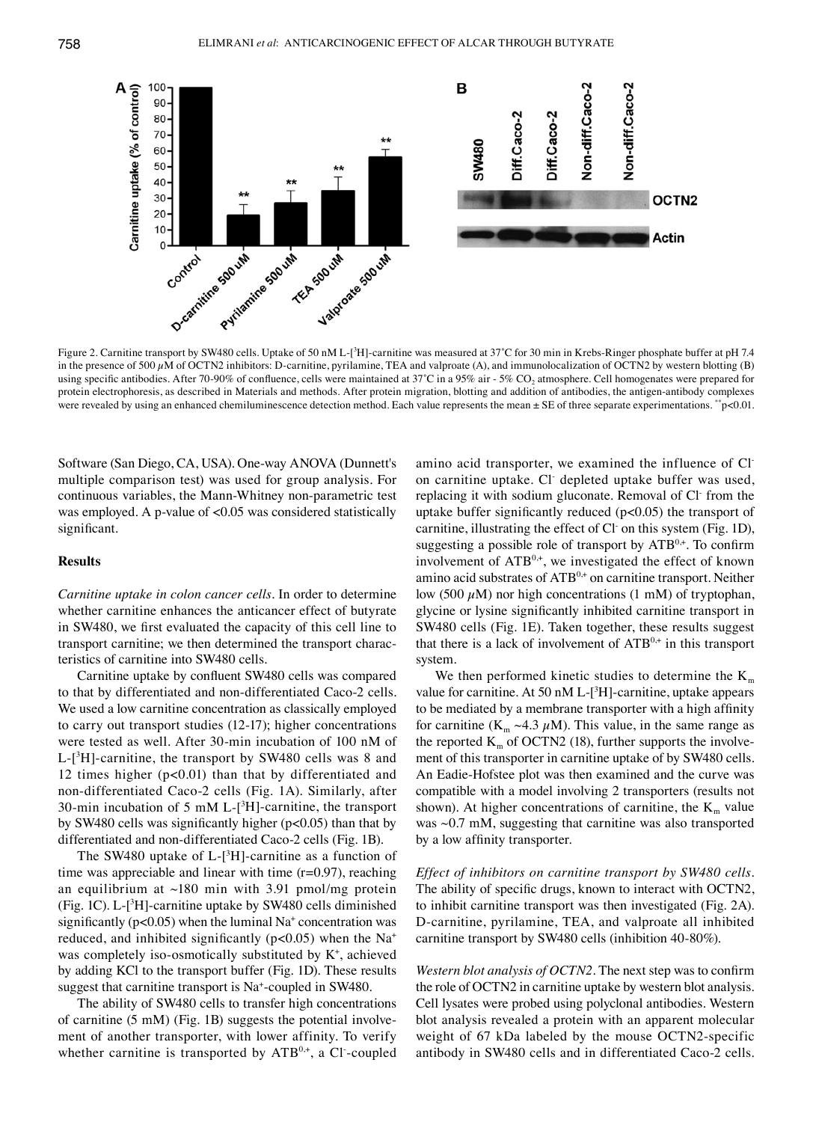

Figure 2. Carnitine transport by SW480 cells. Uptake of 50 nM L-[<sup>3</sup> H]-carnitine was measured at 37˚C for 30 min in Krebs-Ringer phosphate buffer at pH 7.4 in the presence of 500  $\mu$ M of OCTN2 inhibitors: D-carnitine, pyrilamine, TEA and valproate (A), and immunolocalization of OCTN2 by western blotting (B) using specific antibodies. After 70-90% of confluence, cells were maintained at 37°C in a 95% air - 5% CO<sub>2</sub> atmosphere. Cell homogenates were prepared for protein electrophoresis, as described in Materials and methods. After protein migration, blotting and addition of antibodies, the antigen-antibody complexes were revealed by using an enhanced chemiluminescence detection method. Each value represents the mean  $\pm$  SE of three separate experimentations. \*\*p<0.01.

Software (San Diego, CA, USA). One-way ANOVA (Dunnett's multiple comparison test) was used for group analysis. For continuous variables, the Mann-Whitney non-parametric test was employed. A p-value of <0.05 was considered statistically significant.

#### **Results**

*Carnitine uptake in colon cancer cells.* In order to determine whether carnitine enhances the anticancer effect of butyrate in SW480, we first evaluated the capacity of this cell line to transport carnitine; we then determined the transport characteristics of carnitine into SW480 cells.

Carnitine uptake by confluent SW480 cells was compared to that by differentiated and non-differentiated Caco-2 cells. We used a low carnitine concentration as classically employed to carry out transport studies (12-17); higher concentrations were tested as well. After 30-min incubation of 100 nM of L-[3 H]-carnitine, the transport by SW480 cells was 8 and 12 times higher (p<0.01) than that by differentiated and non‑differentiated Caco-2 cells (Fig. 1A). Similarly, after 30-min incubation of 5 mM L- $[3H]$ -carnitine, the transport by SW480 cells was significantly higher (p<0.05) than that by differentiated and non-differentiated Caco-2 cells (Fig. 1B).

The SW480 uptake of  $L$ -[<sup>3</sup>H]-carnitine as a function of time was appreciable and linear with time  $(r=0.97)$ , reaching an equilibrium at  $\sim$ 180 min with 3.91 pmol/mg protein (Fig. 1C). L-[3 H]-carnitine uptake by SW480 cells diminished significantly ( $p<0.05$ ) when the luminal Na<sup>+</sup> concentration was reduced, and inhibited significantly ( $p$ <0.05) when the Na<sup>+</sup> was completely iso-osmotically substituted by K+ , achieved by adding KCl to the transport buffer (Fig. 1D). These results suggest that carnitine transport is Na+ -coupled in SW480.

The ability of SW480 cells to transfer high concentrations of carnitine (5 mM) (Fig. 1B) suggests the potential involvement of another transporter, with lower affinity. To verify whether carnitine is transported by  $ATB^{0,+}$ , a Cl-coupled amino acid transporter, we examined the influence of Clon carnitine uptake. Cl- depleted uptake buffer was used, replacing it with sodium gluconate. Removal of Cl- from the uptake buffer significantly reduced  $(p<0.05)$  the transport of carnitine, illustrating the effect of Cl on this system (Fig. 1D), suggesting a possible role of transport by  $ATB^{0,+}$ . To confirm involvement of  $ATB^{0,+}$ , we investigated the effect of known amino acid substrates of ATB<sup>0,+</sup> on carnitine transport. Neither low (500  $\mu$ M) nor high concentrations (1 mM) of tryptophan, glycine or lysine significantly inhibited carnitine transport in SW480 cells (Fig. 1E). Taken together, these results suggest that there is a lack of involvement of  $ATB<sup>0,+</sup>$  in this transport system.

We then performed kinetic studies to determine the  $K<sub>m</sub>$ value for carnitine. At 50 nM L-[<sup>3</sup>H]-carnitine, uptake appears to be mediated by a membrane transporter with a high affinity for carnitine ( $K_m \sim 4.3 \mu M$ ). This value, in the same range as the reported  $K<sub>m</sub>$  of OCTN2 (18), further supports the involvement of this transporter in carnitine uptake of by SW480 cells. An Eadie-Hofstee plot was then examined and the curve was compatible with a model involving 2 transporters (results not shown). At higher concentrations of carnitine, the  $K_m$  value was  $\sim$ 0.7 mM, suggesting that carnitine was also transported by a low affinity transporter.

*Effect of inhibitors on carnitine transport by SW480 cells.*  The ability of specific drugs, known to interact with OCTN2, to inhibit carnitine transport was then investigated (Fig. 2A). D-carnitine, pyrilamine, TEA, and valproate all inhibited carnitine transport by SW480 cells (inhibition 40-80%).

*Western blot analysis of OCTN2.* The next step was to confirm the role of OCTN2 in carnitine uptake by western blot analysis. Cell lysates were probed using polyclonal antibodies. Western blot analysis revealed a protein with an apparent molecular weight of 67 kDa labeled by the mouse OCTN2-specific antibody in SW480 cells and in differentiated Caco-2 cells.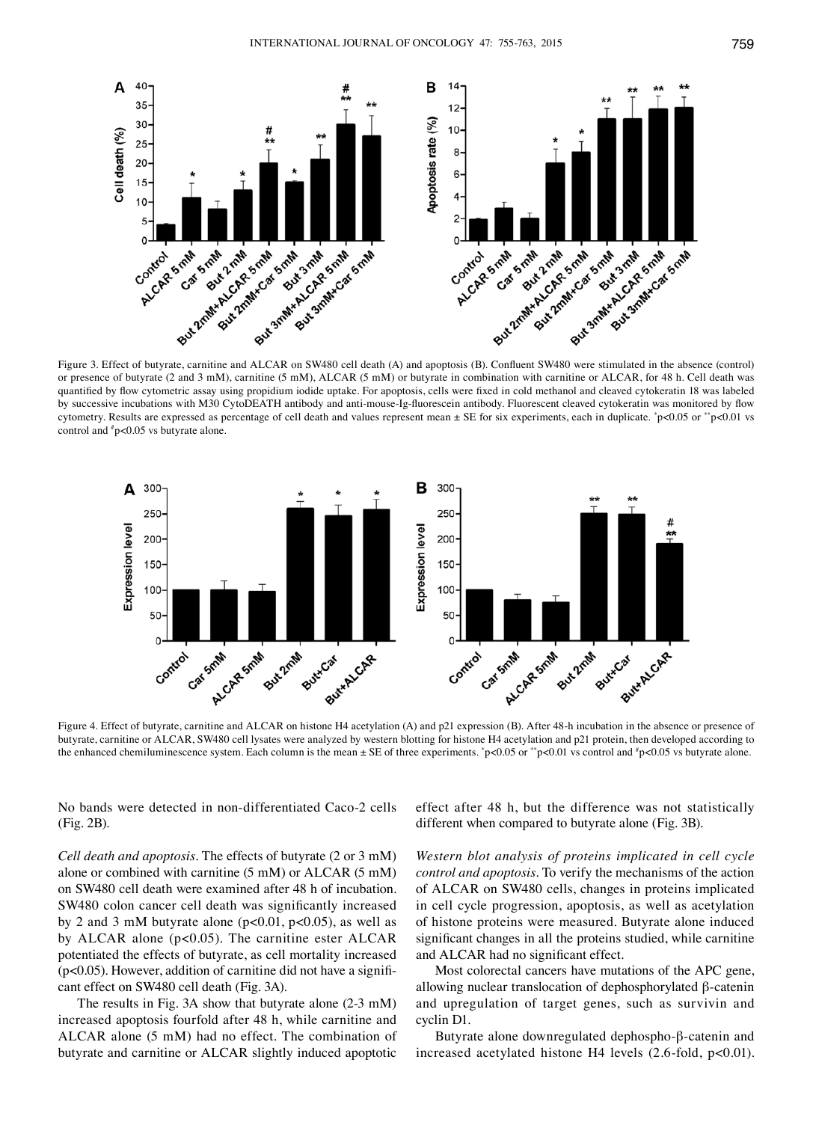

Figure 3. Effect of butyrate, carnitine and ALCAR on SW480 cell death (A) and apoptosis (B). Confluent SW480 were stimulated in the absence (control) or presence of butyrate (2 and 3 mM), carnitine (5 mM), ALCAR (5 mM) or butyrate in combination with carnitine or ALCAR, for 48 h. Cell death was quantified by flow cytometric assay using propidium iodide uptake. For apoptosis, cells were fixed in cold methanol and cleaved cytokeratin 18 was labeled by successive incubations with M30 CytoDEATH antibody and anti-mouse-Ig-fluorescein antibody. Fluorescent cleaved cytokeratin was monitored by flow cytometry. Results are expressed as percentage of cell death and values represent mean ± SE for six experiments, each in duplicate. \* p<0.05 or \*\*p<0.01 vs control and # p<0.05 vs butyrate alone.



Figure 4. Effect of butyrate, carnitine and ALCAR on histone H4 acetylation (A) and p21 expression (B). After 48-h incubation in the absence or presence of butyrate, carnitine or ALCAR, SW480 cell lysates were analyzed by western blotting for histone H4 acetylation and p21 protein, then developed according to the enhanced chemiluminescence system. Each column is the mean  $\pm$  SE of three experiments. \*p<0.05 or \*\*p<0.01 vs control and \*p<0.05 vs butyrate alone.

No bands were detected in non-differentiated Caco-2 cells (Fig. 2B).

*Cell death and apoptosis.* The effects of butyrate (2 or 3 mM) alone or combined with carnitine (5 mM) or ALCAR (5 mM) on SW480 cell death were examined after 48 h of incubation. SW480 colon cancer cell death was significantly increased by 2 and 3 mM butyrate alone ( $p<0.01$ ,  $p<0.05$ ), as well as by ALCAR alone (p<0.05). The carnitine ester ALCAR potentiated the effects of butyrate, as cell mortality increased  $(p<0.05)$ . However, addition of carnitine did not have a significant effect on SW480 cell death (Fig. 3A).

The results in Fig. 3A show that butyrate alone (2-3 mM) increased apoptosis fourfold after 48 h, while carnitine and ALCAR alone (5 mM) had no effect. The combination of butyrate and carnitine or ALCAR slightly induced apoptotic effect after 48 h, but the difference was not statistically different when compared to butyrate alone (Fig. 3B).

*Western blot analysis of proteins implicated in cell cycle control and apoptosis.* To verify the mechanisms of the action of ALCAR on SW480 cells, changes in proteins implicated in cell cycle progression, apoptosis, as well as acetylation of histone proteins were measured. Butyrate alone induced significant changes in all the proteins studied, while carnitine and ALCAR had no significant effect.

Most colorectal cancers have mutations of the APC gene, allowing nuclear translocation of dephosphorylated β-catenin and upregulation of target genes, such as survivin and cyclin D1.

Butyrate alone downregulated dephospho-β-catenin and increased acetylated histone H4 levels (2.6-fold, p<0.01).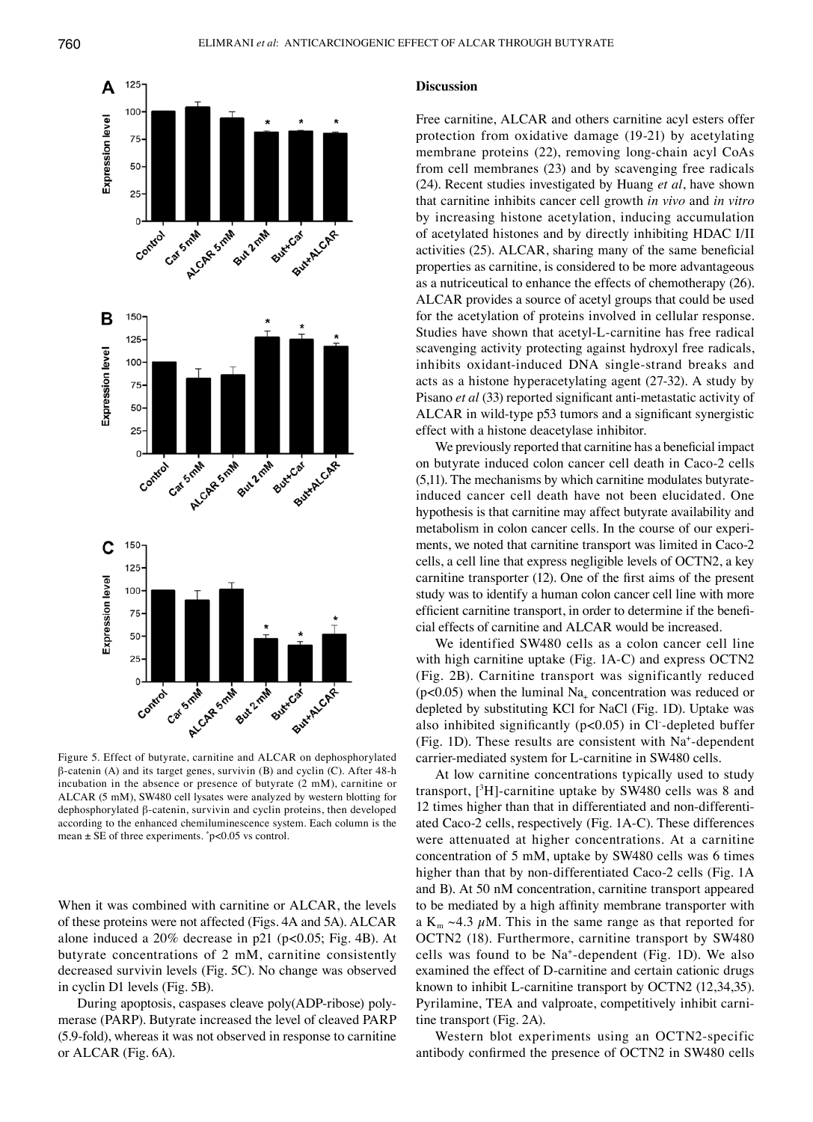

Figure 5. Effect of butyrate, carnitine and ALCAR on dephosphorylated β-catenin (A) and its target genes, survivin (B) and cyclin (C). After 48-h incubation in the absence or presence of butyrate (2 mM), carnitine or ALCAR (5 mM), SW480 cell lysates were analyzed by western blotting for dephosphorylated β-catenin, survivin and cyclin proteins, then developed according to the enhanced chemiluminescence system. Each column is the mean  $\pm$  SE of three experiments.  $\degree$  p<0.05 vs control.

When it was combined with carnitine or ALCAR, the levels of these proteins were not affected (Figs. 4A and 5A). ALCAR alone induced a  $20\%$  decrease in p21 (p<0.05; Fig. 4B). At butyrate concentrations of 2 mM, carnitine consistently decreased survivin levels (Fig. 5C). No change was observed in cyclin D1 levels (Fig. 5B).

During apoptosis, caspases cleave poly(ADP-ribose) polymerase (PARP). Butyrate increased the level of cleaved PARP (5.9-fold), whereas it was not observed in response to carnitine or ALCAR (Fig. 6A).

## **Discussion**

Free carnitine, ALCAR and others carnitine acyl esters offer protection from oxidative damage (19-21) by acetylating membrane proteins (22), removing long-chain acyl CoAs from cell membranes (23) and by scavenging free radicals (24). Recent studies investigated by Huang *et al*, have shown that carnitine inhibits cancer cell growth *in vivo* and *in vitro* by increasing histone acetylation, inducing accumulation of acetylated histones and by directly inhibiting HDAC I/II activities (25). ALCAR, sharing many of the same beneficial properties as carnitine, is considered to be more advantageous as a nutriceutical to enhance the effects of chemotherapy (26). ALCAR provides a source of acetyl groups that could be used for the acetylation of proteins involved in cellular response. Studies have shown that acetyl-L-carnitine has free radical scavenging activity protecting against hydroxyl free radicals, inhibits oxidant-induced DNA single-strand breaks and acts as a histone hyperacetylating agent (27-32). A study by Pisano *et al* (33) reported significant anti-metastatic activity of ALCAR in wild-type p53 tumors and a significant synergistic effect with a histone deacetylase inhibitor.

We previously reported that carnitine has a beneficial impact on butyrate induced colon cancer cell death in Caco-2 cells (5,11). The mechanisms by which carnitine modulates butyrateinduced cancer cell death have not been elucidated. One hypothesis is that carnitine may affect butyrate availability and metabolism in colon cancer cells. In the course of our experiments, we noted that carnitine transport was limited in Caco-2 cells, a cell line that express negligible levels of OCTN2, a key carnitine transporter (12). One of the first aims of the present study was to identify a human colon cancer cell line with more efficient carnitine transport, in order to determine if the beneficial effects of carnitine and ALCAR would be increased.

We identified SW480 cells as a colon cancer cell line with high carnitine uptake (Fig. 1A-C) and express OCTN2 (Fig. 2B). Carnitine transport was significantly reduced ( $p<0.05$ ) when the luminal Na<sub>+</sub> concentration was reduced or depleted by substituting KCl for NaCl (Fig. 1D). Uptake was also inhibited significantly (p<0.05) in Cl- -depleted buffer (Fig. 1D). These results are consistent with Na+-dependent carrier-mediated system for L-carnitine in SW480 cells.

At low carnitine concentrations typically used to study transport, [3 H]-carnitine uptake by SW480 cells was 8 and 12 times higher than that in differentiated and non-differentiated Caco-2 cells, respectively (Fig. 1A-C). These differences were attenuated at higher concentrations. At a carnitine concentration of 5 mM, uptake by SW480 cells was 6 times higher than that by non-differentiated Caco-2 cells (Fig. 1A and B). At 50 nM concentration, carnitine transport appeared to be mediated by a high affinity membrane transporter with a K<sub>m</sub>  $\sim$ 4.3  $\mu$ M. This in the same range as that reported for OCTN2 (18). Furthermore, carnitine transport by SW480 cells was found to be Na+-dependent (Fig. 1D). We also examined the effect of D-carnitine and certain cationic drugs known to inhibit L-carnitine transport by OCTN2 (12,34,35). Pyrilamine, TEA and valproate, competitively inhibit carnitine transport (Fig. 2A).

Western blot experiments using an OCTN2-specific antibody confirmed the presence of OCTN2 in SW480 cells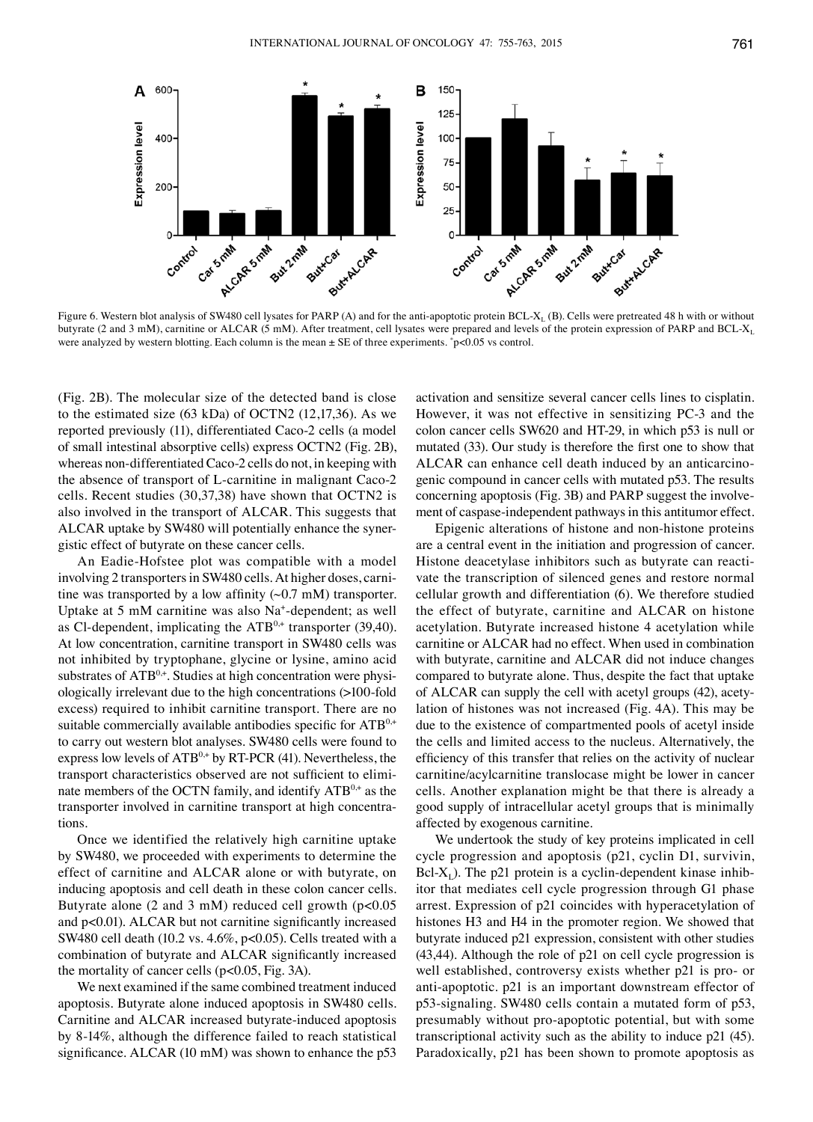

Figure 6. Western blot analysis of SW480 cell lysates for PARP (A) and for the anti-apoptotic protein BCL-X<sub>L</sub> (B). Cells were pretreated 48 h with or without butyrate (2 and 3 mM), carnitine or ALCAR (5 mM). After treatment, cell lysates were prepared and levels of the protein expression of PARP and BCL-X<sub>1</sub> were analyzed by western blotting. Each column is the mean  $\pm$  SE of three experiments.  $\degree$  p<0.05 vs control.

(Fig. 2B). The molecular size of the detected band is close to the estimated size (63 kDa) of OCTN2 (12,17,36). As we reported previously (11), differentiated Caco-2 cells (a model of small intestinal absorptive cells) express OCTN2 (Fig. 2B), whereas non-differentiated Caco-2 cells do not, in keeping with the absence of transport of L-carnitine in malignant Caco-2 cells. Recent studies (30,37,38) have shown that OCTN2 is also involved in the transport of ALCAR. This suggests that ALCAR uptake by SW480 will potentially enhance the synergistic effect of butyrate on these cancer cells.

An Eadie-Hofstee plot was compatible with a model involving 2 transporters in SW480 cells. At higher doses, carnitine was transported by a low affinity  $(\sim 0.7 \text{ mM})$  transporter. Uptake at 5 mM carnitine was also Na<sup>+</sup>-dependent; as well as Cl-dependent, implicating the  $ATB^{0,+}$  transporter (39,40). At low concentration, carnitine transport in SW480 cells was not inhibited by tryptophane, glycine or lysine, amino acid substrates of  $ATB^{0,+}$ . Studies at high concentration were physiologically irrelevant due to the high concentrations (>100-fold excess) required to inhibit carnitine transport. There are no suitable commercially available antibodies specific for ATB<sup>0,+</sup> to carry out western blot analyses. SW480 cells were found to express low levels of  $ATB^{0,+}$  by RT-PCR (41). Nevertheless, the transport characteristics observed are not sufficient to eliminate members of the OCTN family, and identify  $ATB^{0,+}$  as the transporter involved in carnitine transport at high concentrations.

Once we identified the relatively high carnitine uptake by SW480, we proceeded with experiments to determine the effect of carnitine and ALCAR alone or with butyrate, on inducing apoptosis and cell death in these colon cancer cells. Butyrate alone (2 and 3 mM) reduced cell growth (p<0.05 and p<0.01). ALCAR but not carnitine significantly increased SW480 cell death (10.2 vs. 4.6%, p<0.05). Cells treated with a combination of butyrate and ALCAR significantly increased the mortality of cancer cells (p<0.05, Fig. 3A).

We next examined if the same combined treatment induced apoptosis. Butyrate alone induced apoptosis in SW480 cells. Carnitine and ALCAR increased butyrate-induced apoptosis by 8-14%, although the difference failed to reach statistical significance. ALCAR (10 mM) was shown to enhance the p53 activation and sensitize several cancer cells lines to cisplatin. However, it was not effective in sensitizing PC-3 and the colon cancer cells SW620 and HT-29, in which p53 is null or mutated (33). Our study is therefore the first one to show that ALCAR can enhance cell death induced by an anticarcinogenic compound in cancer cells with mutated p53. The results concerning apoptosis (Fig. 3B) and PARP suggest the involvement of caspase-independent pathways in this antitumor effect.

Epigenic alterations of histone and non-histone proteins are a central event in the initiation and progression of cancer. Histone deacetylase inhibitors such as butyrate can reactivate the transcription of silenced genes and restore normal cellular growth and differentiation (6). We therefore studied the effect of butyrate, carnitine and ALCAR on histone acetylation. Butyrate increased histone 4 acetylation while carnitine or ALCAR had no effect. When used in combination with butyrate, carnitine and ALCAR did not induce changes compared to butyrate alone. Thus, despite the fact that uptake of ALCAR can supply the cell with acetyl groups (42), acetylation of histones was not increased (Fig. 4A). This may be due to the existence of compartmented pools of acetyl inside the cells and limited access to the nucleus. Alternatively, the efficiency of this transfer that relies on the activity of nuclear carnitine/acylcarnitine translocase might be lower in cancer cells. Another explanation might be that there is already a good supply of intracellular acetyl groups that is minimally affected by exogenous carnitine.

We undertook the study of key proteins implicated in cell cycle progression and apoptosis (p21, cyclin D1, survivin,  $Bcl-X_L$ ). The p21 protein is a cyclin-dependent kinase inhibitor that mediates cell cycle progression through G1 phase arrest. Expression of p21 coincides with hyperacetylation of histones H<sub>3</sub> and H<sub>4</sub> in the promoter region. We showed that butyrate induced p21 expression, consistent with other studies (43,44). Although the role of p21 on cell cycle progression is well established, controversy exists whether p21 is pro- or anti-apoptotic. p21 is an important downstream effector of p53-signaling. SW480 cells contain a mutated form of p53, presumably without pro-apoptotic potential, but with some transcriptional activity such as the ability to induce p21 (45). Paradoxically, p21 has been shown to promote apoptosis as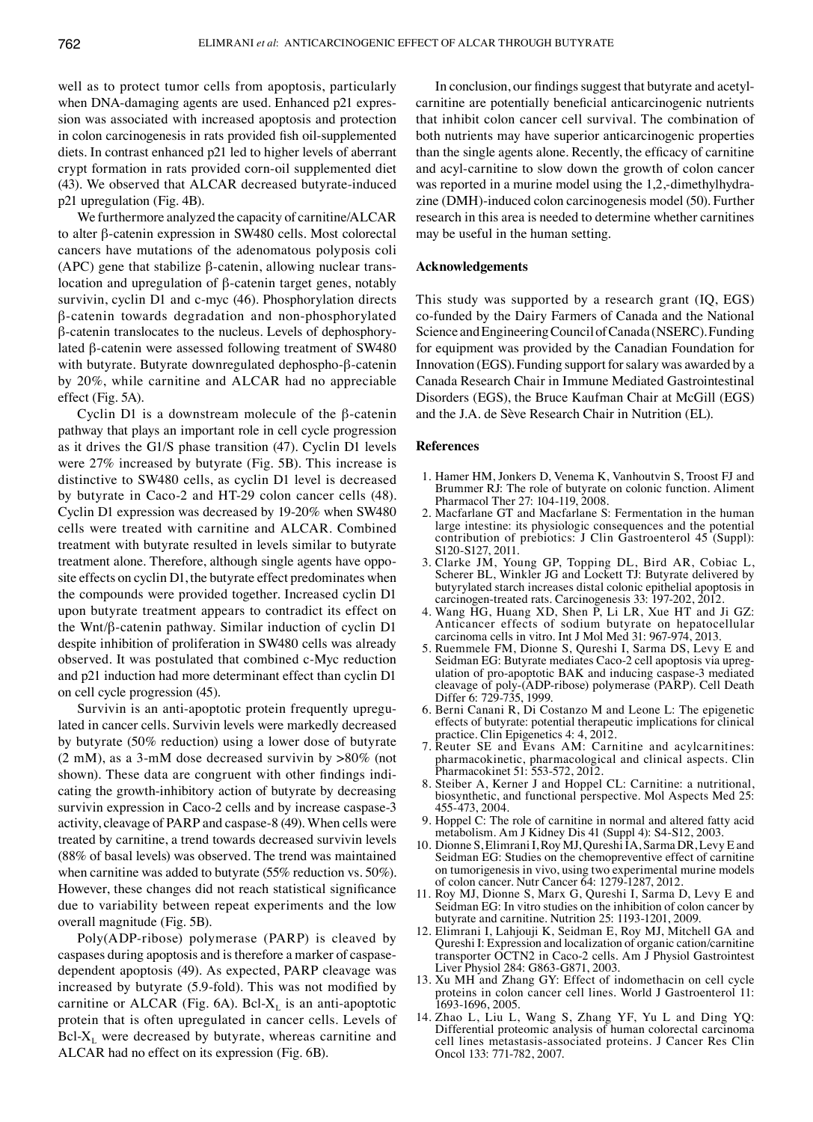well as to protect tumor cells from apoptosis, particularly when DNA-damaging agents are used. Enhanced p21 expression was associated with increased apoptosis and protection in colon carcinogenesis in rats provided fish oil-supplemented diets. In contrast enhanced p21 led to higher levels of aberrant crypt formation in rats provided corn-oil supplemented diet (43). We observed that ALCAR decreased butyrate-induced p21 upregulation (Fig. 4B).

We furthermore analyzed the capacity of carnitine/ALCAR to alter β-catenin expression in SW480 cells. Most colorectal cancers have mutations of the adenomatous polyposis coli (APC) gene that stabilize β-catenin, allowing nuclear translocation and upregulation of β-catenin target genes, notably survivin, cyclin D1 and c-myc (46). Phosphorylation directs β-catenin towards degradation and non-phosphorylated β-catenin translocates to the nucleus. Levels of dephosphorylated β-catenin were assessed following treatment of SW480 with butyrate. Butyrate downregulated dephospho-β-catenin by 20%, while carnitine and ALCAR had no appreciable effect (Fig. 5A).

Cyclin D1 is a downstream molecule of the β-catenin pathway that plays an important role in cell cycle progression as it drives the G1/S phase transition (47). Cyclin D1 levels were 27% increased by butyrate (Fig. 5B). This increase is distinctive to SW480 cells, as cyclin D1 level is decreased by butyrate in Caco-2 and HT-29 colon cancer cells (48). Cyclin D1 expression was decreased by 19-20% when SW480 cells were treated with carnitine and ALCAR. Combined treatment with butyrate resulted in levels similar to butyrate treatment alone. Therefore, although single agents have opposite effects on cyclin D1, the butyrate effect predominates when the compounds were provided together. Increased cyclin D1 upon butyrate treatment appears to contradict its effect on the Wnt/β-catenin pathway. Similar induction of cyclin D1 despite inhibition of proliferation in SW480 cells was already observed. It was postulated that combined c-Myc reduction and p21 induction had more determinant effect than cyclin D1 on cell cycle progression (45).

Survivin is an anti-apoptotic protein frequently upregulated in cancer cells. Survivin levels were markedly decreased by butyrate (50% reduction) using a lower dose of butyrate  $(2 \text{ mM})$ , as a 3-mM dose decreased survivin by  $>80\%$  (not shown). These data are congruent with other findings indicating the growth-inhibitory action of butyrate by decreasing survivin expression in Caco-2 cells and by increase caspase-3 activity, cleavage of PARP and caspase-8 (49). When cells were treated by carnitine, a trend towards decreased survivin levels (88% of basal levels) was observed. The trend was maintained when carnitine was added to butyrate (55% reduction vs. 50%). However, these changes did not reach statistical significance due to variability between repeat experiments and the low overall magnitude (Fig. 5B).

Poly(ADP-ribose) polymerase (PARP) is cleaved by caspases during apoptosis and is therefore a marker of caspasedependent apoptosis (49). As expected, PARP cleavage was increased by butyrate (5.9-fold). This was not modified by carnitine or ALCAR (Fig. 6A). Bcl- $X_L$  is an anti-apoptotic protein that is often upregulated in cancer cells. Levels of  $Bcl-X_L$  were decreased by butyrate, whereas carnitine and ALCAR had no effect on its expression (Fig. 6B).

In conclusion, our findings suggest that butyrate and acetylcarnitine are potentially beneficial anticarcinogenic nutrients that inhibit colon cancer cell survival. The combination of both nutrients may have superior anticarcinogenic properties than the single agents alone. Recently, the efficacy of carnitine and acyl-carnitine to slow down the growth of colon cancer was reported in a murine model using the 1,2,-dimethylhydrazine (DMH)-induced colon carcinogenesis model (50). Further research in this area is needed to determine whether carnitines may be useful in the human setting.

#### **Acknowledgements**

This study was supported by a research grant (IQ, EGS) co-funded by the Dairy Farmers of Canada and the National Science and Engineering Council of Canada (NSERC). Funding for equipment was provided by the Canadian Foundation for Innovation (EGS). Funding support for salary was awarded by a Canada Research Chair in Immune Mediated Gastrointestinal Disorders (EGS), the Bruce Kaufman Chair at McGill (EGS) and the J.A. de Sève Research Chair in Nutrition (EL).

#### **References**

- 1. Hamer HM, Jonkers D, Venema K, Vanhoutvin S, Troost FJ and Brummer RJ: The role of butyrate on colonic function. Aliment Pharmacol Ther 27: 104-119, 2008.
- 2. Macfarlane GT and Macfarlane S: Fermentation in the human large intestine: its physiologic consequences and the potential contribution of prebiotics: J Clin Gastroenterol 45 (Suppl): S120-S127, 2011.
- 3. Clarke JM, Young GP, Topping DL, Bird AR, Cobiac L, Scherer BL, Winkler JG and Lockett TJ: Butyrate delivered by butyrylated starch increases distal colonic epithelial apoptosis in carcinogen-treated rats. Carcinogenesis 33: 197-202, 2012.
- 4. Wang HG, Huang XD, Shen P, Li LR, Xue HT and Ji GZ: Anticancer effects of sodium butyrate on hepatocellular carcinoma cells in vitro. Int J Mol Med 31: 967-974, 2013.
- 5. Ruemmele FM, Dionne S, Qureshi I, Sarma DS, Levy E and Seidman EG: Butyrate mediates Caco-2 cell apoptosis via upregulation of pro-apoptotic BAK and inducing caspase-3 mediated cleavage of poly-(ADP-ribose) polymerase (PARP). Cell Death Differ 6: 729-735, 1999.
- 6. Berni Canani R, Di Costanzo M and Leone L: The epigenetic effects of butyrate: potential therapeutic implications for clinical practice. Clin Epigenetics 4: 4, 2012.
- 7. Reuter SE and Evans AM: Carnitine and acylcarnitines: pharmacokinetic, pharmacological and clinical aspects. Clin Pharmacokinet 51: 553-572, 2012.
- 8. Steiber A, Kerner J and Hoppel CL: Carnitine: a nutritional, biosynthetic, and functional perspective. Mol Aspects Med 25: 455-473, 2004.
- 9. Hoppel C: The role of carnitine in normal and altered fatty acid metabolism. Am J Kidney Dis 41 (Suppl 4): S4-S12, 2003.
- 10. Dionne S, Elimrani I, Roy MJ, Qureshi IA, Sarma DR, Levy E and Seidman EG: Studies on the chemopreventive effect of carnitine on tumorigenesis in vivo, using two experimental murine models of colon cancer. Nutr Cancer 64: 1279-1287, 2012.
- 11. Roy MJ, Dionne S, Marx G, Qureshi I, Sarma D, Levy E and Seidman EG: In vitro studies on the inhibition of colon cancer by butyrate and carnitine. Nutrition 25: 1193-1201, 2009.
- 12. Elimrani I, Lahjouji K, Seidman E, Roy MJ, Mitchell GA and Qureshi I: Expression and localization of organic cation/carnitine transporter OCTN2 in Caco-2 cells. Am J Physiol Gastrointest Liver Physiol 284: G863-G871, 2003.
- 13. Xu MH and Zhang GY: Effect of indomethacin on cell cycle proteins in colon cancer cell lines. World J Gastroenterol 11: 1693-1696, 2005.
- 14. Zhao L, Liu L, Wang S, Zhang YF, Yu L and Ding YQ: Differential proteomic analysis of human colorectal carcinoma cell lines metastasis-associated proteins. J Cancer Res Clin Oncol 133: 771-782, 2007.